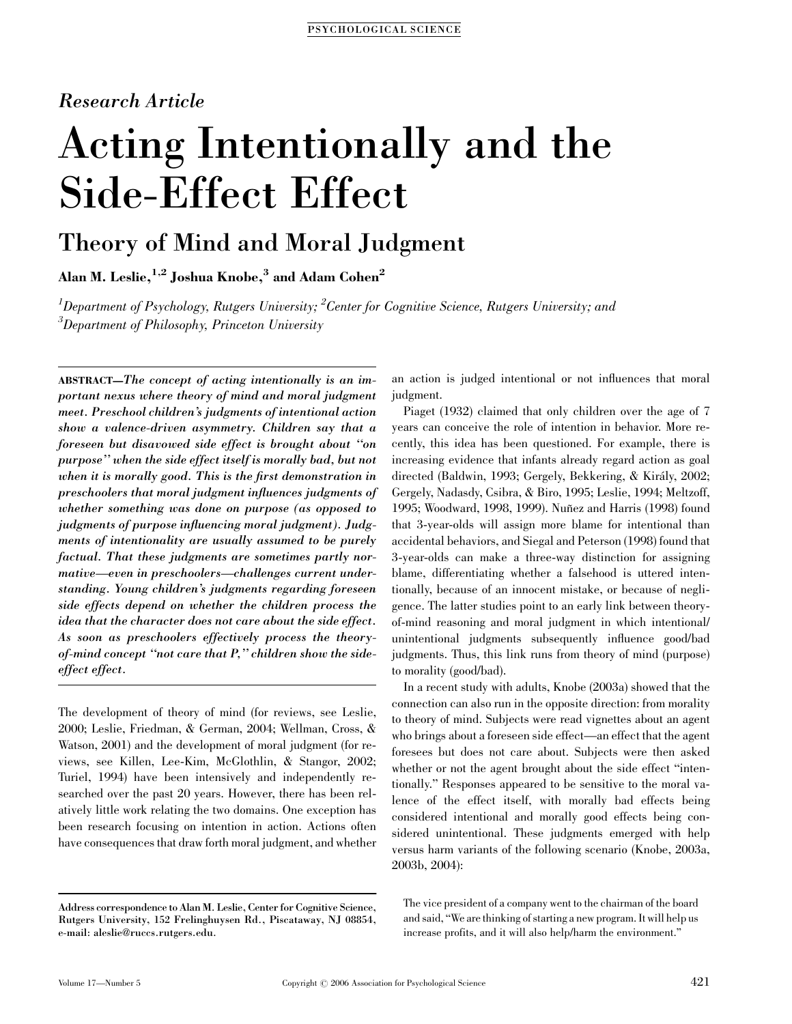# Research Article

# Acting Intentionally and the Side-Effect Effect

# Theory of Mind and Moral Judgment

Alan M. Leslie, <sup>1,2</sup> Joshua Knobe,<sup>3</sup> and Adam Cohen<sup>2</sup>

 $^1$ Department of Psychology, Rutgers University;  $^2$ Center for Cognitive Science, Rutgers University; and  $^3$ Department of Philosophy, Princeton University

ABSTRACT—The concept of acting intentionally is an important nexus where theory of mind and moral judgment meet. Preschool children's judgments of intentional action show a valence-driven asymmetry. Children say that a foreseen but disavowed side effect is brought about ''on purpose'' when the side effect itself is morally bad, but not when it is morally good. This is the first demonstration in preschoolers that moral judgment influences judgments of whether something was done on purpose (as opposed to judgments of purpose influencing moral judgment). Judgments of intentionality are usually assumed to be purely factual. That these judgments are sometimes partly normative—even in preschoolers—challenges current understanding. Young children's judgments regarding foreseen side effects depend on whether the children process the idea that the character does not care about the side effect. As soon as preschoolers effectively process the theoryof-mind concept ''not care that P,'' children show the sideeffect effect.

The development of theory of mind (for reviews, see Leslie, 2000; Leslie, Friedman, & German, 2004; Wellman, Cross, & Watson, 2001) and the development of moral judgment (for reviews, see Killen, Lee-Kim, McGlothlin, & Stangor, 2002; Turiel, 1994) have been intensively and independently researched over the past 20 years. However, there has been relatively little work relating the two domains. One exception has been research focusing on intention in action. Actions often have consequences that draw forth moral judgment, and whether

an action is judged intentional or not influences that moral judgment.

Piaget (1932) claimed that only children over the age of 7 years can conceive the role of intention in behavior. More recently, this idea has been questioned. For example, there is increasing evidence that infants already regard action as goal directed (Baldwin, 1993; Gergely, Bekkering, & Király, 2002; Gergely, Nadasdy, Csibra, & Biro, 1995; Leslie, 1994; Meltzoff, 1995; Woodward, 1998, 1999). Nuñez and Harris (1998) found that 3-year-olds will assign more blame for intentional than accidental behaviors, and Siegal and Peterson (1998) found that 3-year-olds can make a three-way distinction for assigning blame, differentiating whether a falsehood is uttered intentionally, because of an innocent mistake, or because of negligence. The latter studies point to an early link between theoryof-mind reasoning and moral judgment in which intentional/ unintentional judgments subsequently influence good/bad judgments. Thus, this link runs from theory of mind (purpose) to morality (good/bad).

In a recent study with adults, Knobe (2003a) showed that the connection can also run in the opposite direction: from morality to theory of mind. Subjects were read vignettes about an agent who brings about a foreseen side effect—an effect that the agent foresees but does not care about. Subjects were then asked whether or not the agent brought about the side effect ''intentionally.'' Responses appeared to be sensitive to the moral valence of the effect itself, with morally bad effects being considered intentional and morally good effects being considered unintentional. These judgments emerged with help versus harm variants of the following scenario (Knobe, 2003a, 2003b, 2004):

The vice president of a company went to the chairman of the board and said, ''We are thinking of starting a new program. It will help us increase profits, and it will also help/harm the environment.''

Address correspondence to Alan M. Leslie, Center for Cognitive Science, Rutgers University, 152 Frelinghuysen Rd., Piscataway, NJ 08854, e-mail: aleslie@ruccs.rutgers.edu.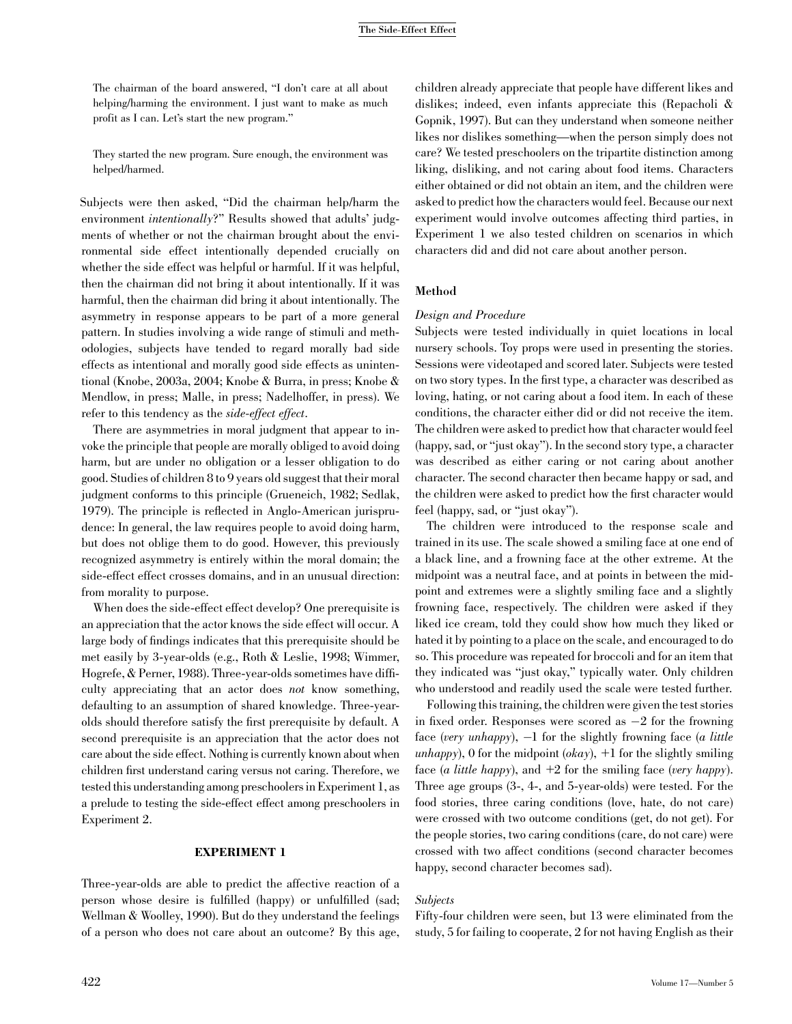The chairman of the board answered, "I don't care at all about helping/harming the environment. I just want to make as much profit as I can. Let's start the new program.''

They started the new program. Sure enough, the environment was helped/harmed.

Subjects were then asked, ''Did the chairman help/harm the environment *intentionally*?" Results showed that adults' judgments of whether or not the chairman brought about the environmental side effect intentionally depended crucially on whether the side effect was helpful or harmful. If it was helpful, then the chairman did not bring it about intentionally. If it was harmful, then the chairman did bring it about intentionally. The asymmetry in response appears to be part of a more general pattern. In studies involving a wide range of stimuli and methodologies, subjects have tended to regard morally bad side effects as intentional and morally good side effects as unintentional (Knobe, 2003a, 2004; Knobe & Burra, in press; Knobe & Mendlow, in press; Malle, in press; Nadelhoffer, in press). We refer to this tendency as the side-effect effect.

There are asymmetries in moral judgment that appear to invoke the principle that people are morally obliged to avoid doing harm, but are under no obligation or a lesser obligation to do good. Studies of children 8 to 9 years old suggest that their moral judgment conforms to this principle (Grueneich, 1982; Sedlak, 1979). The principle is reflected in Anglo-American jurisprudence: In general, the law requires people to avoid doing harm, but does not oblige them to do good. However, this previously recognized asymmetry is entirely within the moral domain; the side-effect effect crosses domains, and in an unusual direction: from morality to purpose.

When does the side-effect effect develop? One prerequisite is an appreciation that the actor knows the side effect will occur. A large body of findings indicates that this prerequisite should be met easily by 3-year-olds (e.g., Roth & Leslie, 1998; Wimmer, Hogrefe, & Perner, 1988). Three-year-olds sometimes have difficulty appreciating that an actor does not know something, defaulting to an assumption of shared knowledge. Three-yearolds should therefore satisfy the first prerequisite by default. A second prerequisite is an appreciation that the actor does not care about the side effect. Nothing is currently known about when children first understand caring versus not caring. Therefore, we tested this understanding among preschoolers in Experiment 1, as a prelude to testing the side-effect effect among preschoolers in Experiment 2.

# EXPERIMENT 1

Three-year-olds are able to predict the affective reaction of a person whose desire is fulfilled (happy) or unfulfilled (sad; Wellman & Woolley, 1990). But do they understand the feelings of a person who does not care about an outcome? By this age,

children already appreciate that people have different likes and dislikes; indeed, even infants appreciate this (Repacholi & Gopnik, 1997). But can they understand when someone neither likes nor dislikes something—when the person simply does not care? We tested preschoolers on the tripartite distinction among liking, disliking, and not caring about food items. Characters either obtained or did not obtain an item, and the children were asked to predict how the characters would feel. Because our next experiment would involve outcomes affecting third parties, in Experiment 1 we also tested children on scenarios in which characters did and did not care about another person.

# Method

#### Design and Procedure

Subjects were tested individually in quiet locations in local nursery schools. Toy props were used in presenting the stories. Sessions were videotaped and scored later. Subjects were tested on two story types. In the first type, a character was described as loving, hating, or not caring about a food item. In each of these conditions, the character either did or did not receive the item. The children were asked to predict how that character would feel (happy, sad, or ''just okay''). In the second story type, a character was described as either caring or not caring about another character. The second character then became happy or sad, and the children were asked to predict how the first character would feel (happy, sad, or ''just okay'').

The children were introduced to the response scale and trained in its use. The scale showed a smiling face at one end of a black line, and a frowning face at the other extreme. At the midpoint was a neutral face, and at points in between the midpoint and extremes were a slightly smiling face and a slightly frowning face, respectively. The children were asked if they liked ice cream, told they could show how much they liked or hated it by pointing to a place on the scale, and encouraged to do so. This procedure was repeated for broccoli and for an item that they indicated was ''just okay,'' typically water. Only children who understood and readily used the scale were tested further.

Following this training, the children were given the test stories in fixed order. Responses were scored as  $-2$  for the frowning face (very unhappy),  $-1$  for the slightly frowning face (a little unhappy), 0 for the midpoint  $(\alpha k a y)$ , +1 for the slightly smiling face (a little happy), and  $+2$  for the smiling face (very happy). Three age groups (3-, 4-, and 5-year-olds) were tested. For the food stories, three caring conditions (love, hate, do not care) were crossed with two outcome conditions (get, do not get). For the people stories, two caring conditions (care, do not care) were crossed with two affect conditions (second character becomes happy, second character becomes sad).

#### Subjects

Fifty-four children were seen, but 13 were eliminated from the study, 5 for failing to cooperate, 2 for not having English as their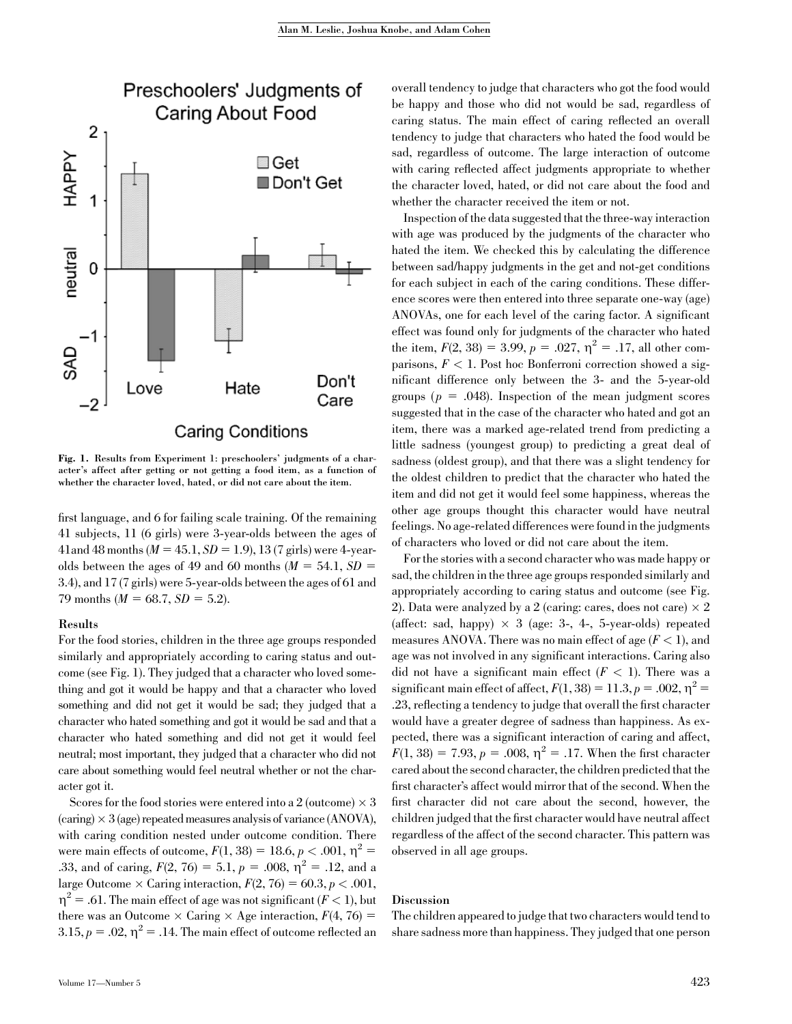

Fig. 1. Results from Experiment 1: preschoolers' judgments of a character's affect after getting or not getting a food item, as a function of whether the character loved, hated, or did not care about the item.

first language, and 6 for failing scale training. Of the remaining 41 subjects, 11 (6 girls) were 3-year-olds between the ages of 41and 48 months ( $M = 45.1$ ,  $SD = 1.9$ ), 13 (7 girls) were 4-yearolds between the ages of 49 and 60 months  $(M = 54.1, SD =$ 3.4), and 17 (7 girls) were 5-year-olds between the ages of 61 and 79 months ( $M = 68.7$ ,  $SD = 5.2$ ).

# Results

For the food stories, children in the three age groups responded similarly and appropriately according to caring status and outcome (see Fig. 1). They judged that a character who loved something and got it would be happy and that a character who loved something and did not get it would be sad; they judged that a character who hated something and got it would be sad and that a character who hated something and did not get it would feel neutral; most important, they judged that a character who did not care about something would feel neutral whether or not the character got it.

Scores for the food stories were entered into a 2 (outcome)  $\times$  3 (caring)  $\times$  3 (age) repeated measures analysis of variance (ANOVA), with caring condition nested under outcome condition. There were main effects of outcome,  $F(1, 38) = 18.6, p < .001, \eta^2 =$ .33, and of caring,  $F(2, 76) = 5.1$ ,  $p = .008$ ,  $\eta^2 = .12$ , and a large Outcome  $\times$  Caring interaction,  $F(2, 76) = 60.3, p < .001,$  $\eta^2 = .61$ . The main effect of age was not significant ( $F < 1$ ), but there was an Outcome  $\times$  Caring  $\times$  Age interaction,  $F(4, 76) =$  $3.15, p = .02, \eta^2 = .14$ . The main effect of outcome reflected an

overall tendency to judge that characters who got the food would be happy and those who did not would be sad, regardless of caring status. The main effect of caring reflected an overall tendency to judge that characters who hated the food would be sad, regardless of outcome. The large interaction of outcome with caring reflected affect judgments appropriate to whether the character loved, hated, or did not care about the food and whether the character received the item or not.

Inspection of the data suggested that the three-way interaction with age was produced by the judgments of the character who hated the item. We checked this by calculating the difference between sad/happy judgments in the get and not-get conditions for each subject in each of the caring conditions. These difference scores were then entered into three separate one-way (age) ANOVAs, one for each level of the caring factor. A significant effect was found only for judgments of the character who hated the item,  $F(2, 38) = 3.99$ ,  $p = .027$ ,  $\eta^2 = .17$ , all other comparisons,  $F < 1$ . Post hoc Bonferroni correction showed a significant difference only between the 3- and the 5-year-old groups ( $p = .048$ ). Inspection of the mean judgment scores suggested that in the case of the character who hated and got an item, there was a marked age-related trend from predicting a little sadness (youngest group) to predicting a great deal of sadness (oldest group), and that there was a slight tendency for the oldest children to predict that the character who hated the item and did not get it would feel some happiness, whereas the other age groups thought this character would have neutral feelings. No age-related differences were found in the judgments of characters who loved or did not care about the item.

For the stories with a second character who was made happy or sad, the children in the three age groups responded similarly and appropriately according to caring status and outcome (see Fig. 2). Data were analyzed by a 2 (caring: cares, does not care)  $\times$  2 (affect: sad, happy)  $\times$  3 (age: 3-, 4-, 5-year-olds) repeated measures ANOVA. There was no main effect of age  $(F < 1)$ , and age was not involved in any significant interactions. Caring also did not have a significant main effect  $(F < 1)$ . There was a significant main effect of affect,  $F(1, 38) = 11.3$ ,  $p = .002$ ,  $\eta^2 =$ .23, reflecting a tendency to judge that overall the first character would have a greater degree of sadness than happiness. As expected, there was a significant interaction of caring and affect,  $F(1, 38) = 7.93, p = .008, \eta^2 = .17.$  When the first character cared about the second character, the children predicted that the first character's affect would mirror that of the second. When the first character did not care about the second, however, the children judged that the first character would have neutral affect regardless of the affect of the second character. This pattern was observed in all age groups.

# Discussion

The children appeared to judge that two characters would tend to share sadness more than happiness. They judged that one person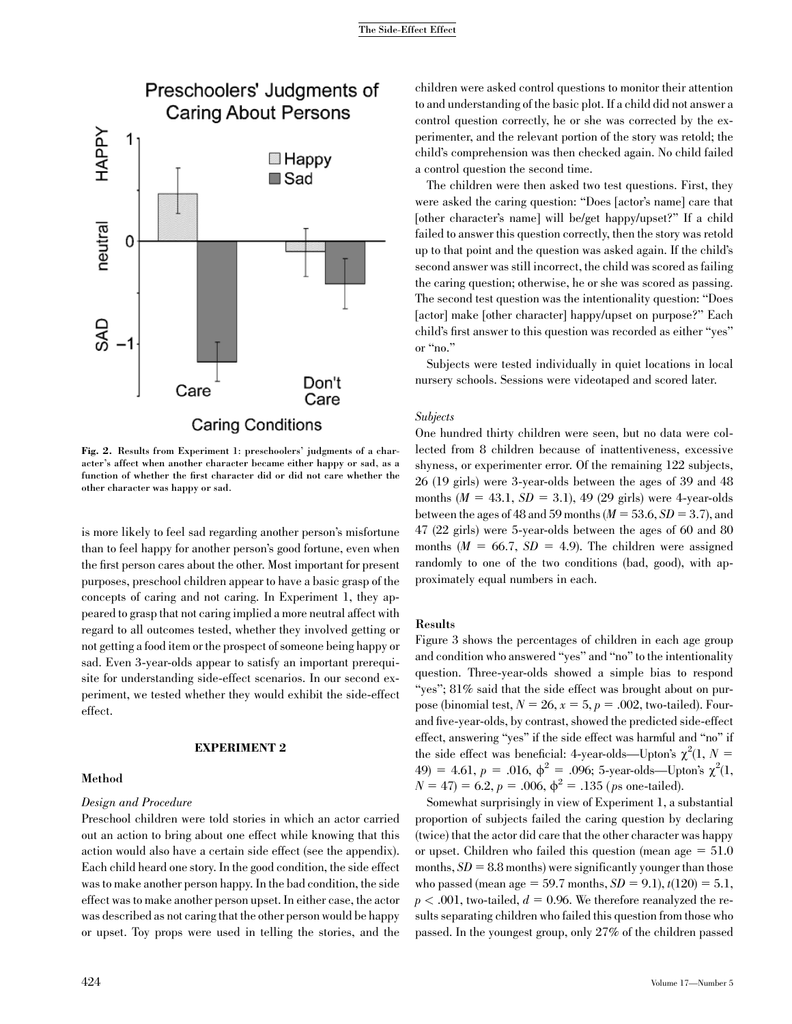

Fig. 2. Results from Experiment 1: preschoolers' judgments of a character's affect when another character became either happy or sad, as a function of whether the first character did or did not care whether the other character was happy or sad.

is more likely to feel sad regarding another person's misfortune than to feel happy for another person's good fortune, even when the first person cares about the other. Most important for present purposes, preschool children appear to have a basic grasp of the concepts of caring and not caring. In Experiment 1, they appeared to grasp that not caring implied a more neutral affect with regard to all outcomes tested, whether they involved getting or not getting a food item or the prospect of someone being happy or sad. Even 3-year-olds appear to satisfy an important prerequisite for understanding side-effect scenarios. In our second experiment, we tested whether they would exhibit the side-effect effect.

# EXPERIMENT 2

### Method

# Design and Procedure

Preschool children were told stories in which an actor carried out an action to bring about one effect while knowing that this action would also have a certain side effect (see the appendix). Each child heard one story. In the good condition, the side effect was to make another person happy. In the bad condition, the side effect was to make another person upset. In either case, the actor was described as not caring that the other person would be happy or upset. Toy props were used in telling the stories, and the children were asked control questions to monitor their attention to and understanding of the basic plot. If a child did not answer a control question correctly, he or she was corrected by the experimenter, and the relevant portion of the story was retold; the child's comprehension was then checked again. No child failed a control question the second time.

The children were then asked two test questions. First, they were asked the caring question: ''Does [actor's name] care that [other character's name] will be/get happy/upset?'' If a child failed to answer this question correctly, then the story was retold up to that point and the question was asked again. If the child's second answer was still incorrect, the child was scored as failing the caring question; otherwise, he or she was scored as passing. The second test question was the intentionality question: ''Does [actor] make [other character] happy/upset on purpose?" Each child's first answer to this question was recorded as either ''yes'' or ''no.''

Subjects were tested individually in quiet locations in local nursery schools. Sessions were videotaped and scored later.

#### Subjects

One hundred thirty children were seen, but no data were collected from 8 children because of inattentiveness, excessive shyness, or experimenter error. Of the remaining 122 subjects, 26 (19 girls) were 3-year-olds between the ages of 39 and 48 months  $(M = 43.1, SD = 3.1)$ , 49 (29 girls) were 4-year-olds between the ages of 48 and 59 months  $(M = 53.6, SD = 3.7)$ , and 47 (22 girls) were 5-year-olds between the ages of 60 and 80 months ( $M = 66.7$ ,  $SD = 4.9$ ). The children were assigned randomly to one of the two conditions (bad, good), with approximately equal numbers in each.

# Results

Figure 3 shows the percentages of children in each age group and condition who answered ''yes'' and ''no'' to the intentionality question. Three-year-olds showed a simple bias to respond "yes"; 81% said that the side effect was brought about on purpose (binomial test,  $N = 26$ ,  $x = 5$ ,  $p = .002$ , two-tailed). Fourand five-year-olds, by contrast, showed the predicted side-effect effect, answering ''yes'' if the side effect was harmful and ''no'' if the side effect was beneficial: 4-year-olds—Upton's  $\chi^2(1, N =$ 49) = 4.61,  $p = .016$ ,  $\phi^2 = .096$ ; 5-year-olds—Upton's  $\chi^2(1, 0)$  $N = 47$ ) = 6.2, p = .006,  $\phi^2$  = .135 (ps one-tailed).

Somewhat surprisingly in view of Experiment 1, a substantial proportion of subjects failed the caring question by declaring (twice) that the actor did care that the other character was happy or upset. Children who failed this question (mean age  $= 51.0$ ) months,  $SD = 8.8$  months) were significantly younger than those who passed (mean age = 59.7 months,  $SD = 9.1$ ),  $t(120) = 5.1$ ,  $p < .001$ , two-tailed,  $d = 0.96$ . We therefore reanalyzed the results separating children who failed this question from those who passed. In the youngest group, only 27% of the children passed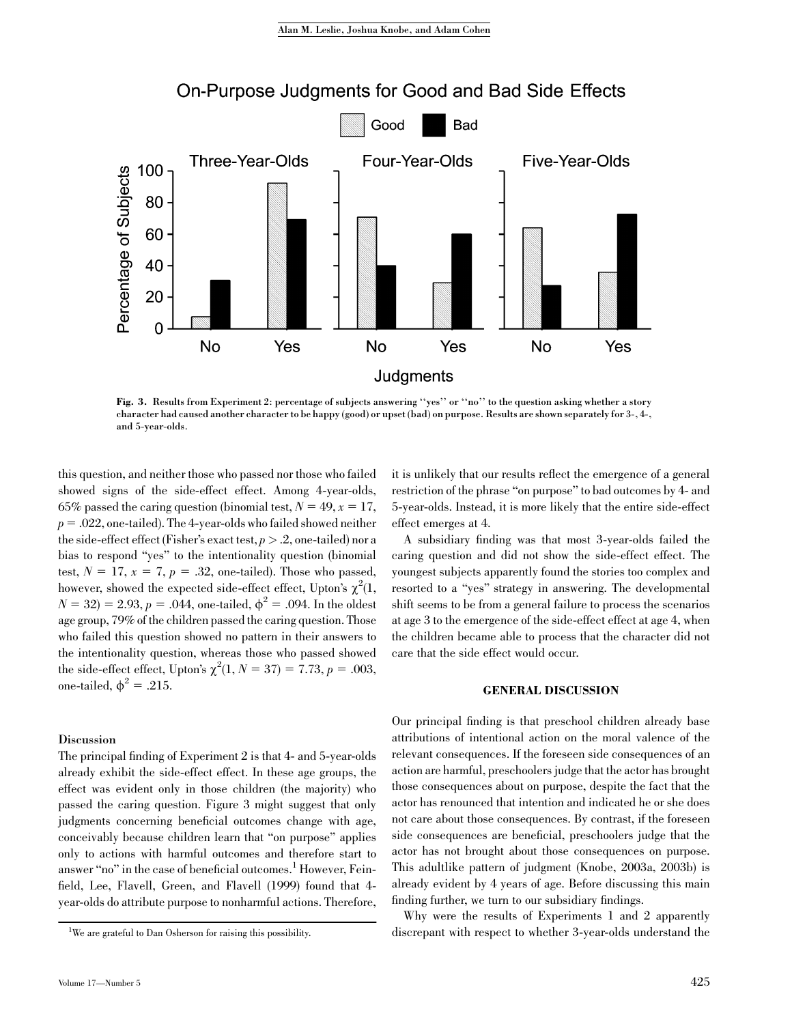

# On-Purpose Judgments for Good and Bad Side Effects

Fig. 3. Results from Experiment 2: percentage of subjects answering ''yes'' or ''no'' to the question asking whether a story character had caused another character to be happy (good) or upset (bad) on purpose. Results are shown separately for 3-, 4-, and 5-year-olds.

this question, and neither those who passed nor those who failed showed signs of the side-effect effect. Among 4-year-olds, 65% passed the caring question (binomial test,  $N = 49, x = 17$ ,  $p = .022$ , one-tailed). The 4-year-olds who failed showed neither the side-effect effect (Fisher's exact test,  $p > 0.2$ , one-tailed) nor a bias to respond ''yes'' to the intentionality question (binomial test,  $N = 17$ ,  $x = 7$ ,  $p = .32$ , one-tailed). Those who passed, however, showed the expected side-effect effect, Upton's  $\chi^2(1,$  $N = 32$ ) = 2.93, p = .044, one-tailed,  $\phi^2 = .094$ . In the oldest age group, 79% of the children passed the caring question. Those who failed this question showed no pattern in their answers to the intentionality question, whereas those who passed showed the side-effect effect, Upton's  $\chi^2(1, N = 37) = 7.73, p = .003$ , one-tailed,  $\phi^2 = .215$ .

#### Discussion

The principal finding of Experiment 2 is that 4- and 5-year-olds already exhibit the side-effect effect. In these age groups, the effect was evident only in those children (the majority) who passed the caring question. Figure 3 might suggest that only judgments concerning beneficial outcomes change with age, conceivably because children learn that ''on purpose'' applies only to actions with harmful outcomes and therefore start to answer "no" in the case of beneficial outcomes.<sup>1</sup> However, Feinfield, Lee, Flavell, Green, and Flavell (1999) found that 4 year-olds do attribute purpose to nonharmful actions. Therefore,

it is unlikely that our results reflect the emergence of a general restriction of the phrase ''on purpose'' to bad outcomes by 4- and 5-year-olds. Instead, it is more likely that the entire side-effect effect emerges at 4.

A subsidiary finding was that most 3-year-olds failed the caring question and did not show the side-effect effect. The youngest subjects apparently found the stories too complex and resorted to a ''yes'' strategy in answering. The developmental shift seems to be from a general failure to process the scenarios at age 3 to the emergence of the side-effect effect at age 4, when the children became able to process that the character did not care that the side effect would occur.

# GENERAL DISCUSSION

Our principal finding is that preschool children already base attributions of intentional action on the moral valence of the relevant consequences. If the foreseen side consequences of an action are harmful, preschoolers judge that the actor has brought those consequences about on purpose, despite the fact that the actor has renounced that intention and indicated he or she does not care about those consequences. By contrast, if the foreseen side consequences are beneficial, preschoolers judge that the actor has not brought about those consequences on purpose. This adultlike pattern of judgment (Knobe, 2003a, 2003b) is already evident by 4 years of age. Before discussing this main finding further, we turn to our subsidiary findings.

Why were the results of Experiments 1 and 2 apparently discrepant with respect to whether 3-year-olds understand the

<sup>&</sup>lt;sup>1</sup>We are grateful to Dan Osherson for raising this possibility.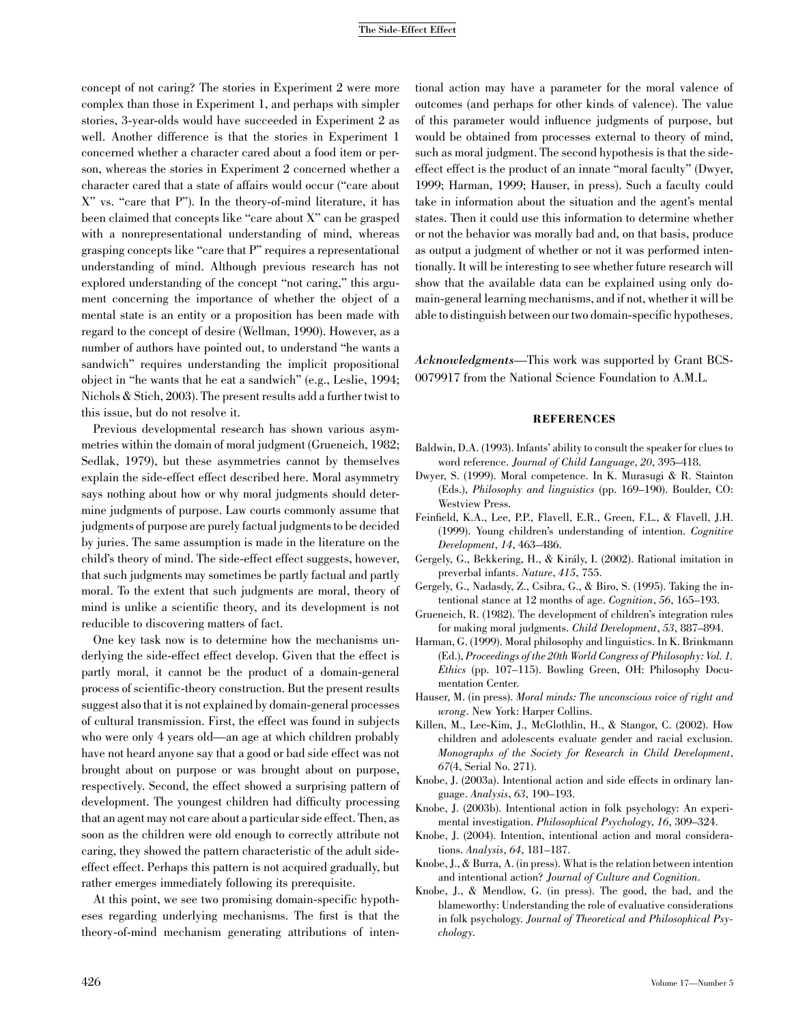concept of not caring? The stories in Experiment 2 were more complex than those in Experiment 1, and perhaps with simpler stories, 3-year-olds would have succeeded in Experiment 2 as well. Another difference is that the stories in Experiment 1 concerned whether a character cared about a food item or person, whereas the stories in Experiment 2 concerned whether a character cared that a state of affairs would occur (''care about X" vs. "care that P"). In the theory-of-mind literature, it has been claimed that concepts like ''care about X'' can be grasped with a nonrepresentational understanding of mind, whereas grasping concepts like ''care that P'' requires a representational understanding of mind. Although previous research has not explored understanding of the concept "not caring," this argument concerning the importance of whether the object of a mental state is an entity or a proposition has been made with regard to the concept of desire (Wellman, 1990). However, as a number of authors have pointed out, to understand ''he wants a sandwich'' requires understanding the implicit propositional object in ''he wants that he eat a sandwich'' (e.g., Leslie, 1994; Nichols & Stich, 2003). The present results add a further twist to this issue, but do not resolve it.

Previous developmental research has shown various asymmetries within the domain of moral judgment (Grueneich, 1982; Sedlak, 1979), but these asymmetries cannot by themselves explain the side-effect effect described here. Moral asymmetry says nothing about how or why moral judgments should determine judgments of purpose. Law courts commonly assume that judgments of purpose are purely factual judgments to be decided by juries. The same assumption is made in the literature on the child's theory of mind. The side-effect effect suggests, however, that such judgments may sometimes be partly factual and partly moral. To the extent that such judgments are moral, theory of mind is unlike a scientific theory, and its development is not reducible to discovering matters of fact.

One key task now is to determine how the mechanisms underlying the side-effect effect develop. Given that the effect is partly moral, it cannot be the product of a domain-general process of scientific-theory construction. But the present results suggest also that it is not explained by domain-general processes of cultural transmission. First, the effect was found in subjects who were only 4 years old—an age at which children probably have not heard anyone say that a good or bad side effect was not brought about on purpose or was brought about on purpose, respectively. Second, the effect showed a surprising pattern of development. The youngest children had difficulty processing that an agent may not care about a particular side effect. Then, as soon as the children were old enough to correctly attribute not caring, they showed the pattern characteristic of the adult sideeffect effect. Perhaps this pattern is not acquired gradually, but rather emerges immediately following its prerequisite.

At this point, we see two promising domain-specific hypotheses regarding underlying mechanisms. The first is that the theory-of-mind mechanism generating attributions of inten-

tional action may have a parameter for the moral valence of outcomes (and perhaps for other kinds of valence). The value of this parameter would influence judgments of purpose, but would be obtained from processes external to theory of mind, such as moral judgment. The second hypothesis is that the sideeffect effect is the product of an innate ''moral faculty'' (Dwyer, 1999; Harman, 1999; Hauser, in press). Such a faculty could take in information about the situation and the agent's mental states. Then it could use this information to determine whether or not the behavior was morally bad and, on that basis, produce as output a judgment of whether or not it was performed intentionally. It will be interesting to see whether future research will show that the available data can be explained using only domain-general learning mechanisms, and if not, whether it will be able to distinguish between our two domain-specific hypotheses.

Acknowledgments—This work was supported by Grant BCS-0079917 from the National Science Foundation to A.M.L.

#### **REFERENCES**

- Baldwin, D.A. (1993). Infants' ability to consult the speaker for clues to word reference. Journal of Child Language, 20, 395–418.
- Dwyer, S. (1999). Moral competence. In K. Murasugi & R. Stainton (Eds.), Philosophy and linguistics (pp. 169–190). Boulder, CO: Westview Press.
- Feinfield, K.A., Lee, P.P., Flavell, E.R., Green, F.L., & Flavell, J.H. (1999). Young children's understanding of intention. Cognitive Development, 14, 463–486.
- Gergely, G., Bekkering, H., & Király, I. (2002). Rational imitation in preverbal infants. Nature, 415, 755.
- Gergely, G., Nadasdy, Z., Csibra, G., & Biro, S. (1995). Taking the intentional stance at 12 months of age. Cognition, 56, 165–193.
- Grueneich, R. (1982). The development of children's integration rules for making moral judgments. Child Development, 53, 887–894.
- Harman, G. (1999). Moral philosophy and linguistics. In K. Brinkmann (Ed.), Proceedings of the 20th World Congress of Philosophy: Vol. 1. Ethics (pp. 107–115). Bowling Green, OH: Philosophy Documentation Center.
- Hauser, M. (in press). Moral minds: The unconscious voice of right and wrong. New York: Harper Collins.
- Killen, M., Lee-Kim, J., McGlothlin, H., & Stangor, C. (2002). How children and adolescents evaluate gender and racial exclusion. Monographs of the Society for Research in Child Development, 67(4, Serial No. 271).
- Knobe, J. (2003a). Intentional action and side effects in ordinary language. Analysis, 63, 190–193.
- Knobe, J. (2003b). Intentional action in folk psychology: An experimental investigation. Philosophical Psychology, 16, 309–324.
- Knobe, J. (2004). Intention, intentional action and moral considerations. Analysis, 64, 181–187.
- Knobe, J., & Burra, A. (in press). What is the relation between intention and intentional action? Journal of Culture and Cognition.
- Knobe, J., & Mendlow, G. (in press). The good, the bad, and the blameworthy: Understanding the role of evaluative considerations in folk psychology. Journal of Theoretical and Philosophical Psychology.